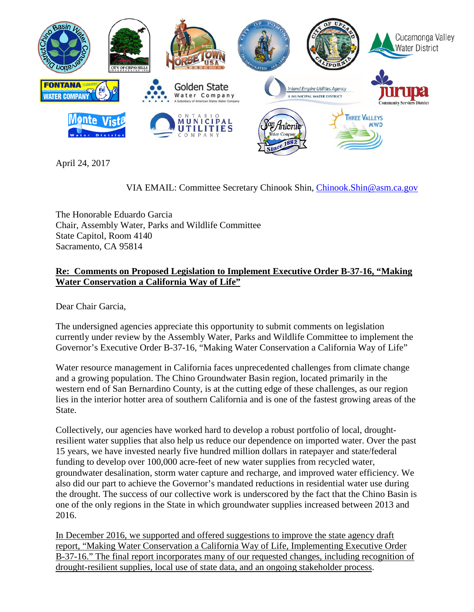

April 24, 2017

VIA EMAIL: Committee Secretary Chinook Shin, [Chinook.Shin@asm.ca.gov](mailto:Chinook.Shin@asm.ca.gov)

The Honorable Eduardo Garcia Chair, Assembly Water, Parks and Wildlife Committee State Capitol, Room 4140 Sacramento, CA 95814

## **Re: Comments on Proposed Legislation to Implement Executive Order B-37-16, "Making Water Conservation a California Way of Life"**

Dear Chair Garcia,

The undersigned agencies appreciate this opportunity to submit comments on legislation currently under review by the Assembly Water, Parks and Wildlife Committee to implement the Governor's Executive Order B-37-16, "Making Water Conservation a California Way of Life"

Water resource management in California faces unprecedented challenges from climate change and a growing population. The Chino Groundwater Basin region, located primarily in the western end of San Bernardino County, is at the cutting edge of these challenges, as our region lies in the interior hotter area of southern California and is one of the fastest growing areas of the State.

Collectively, our agencies have worked hard to develop a robust portfolio of local, droughtresilient water supplies that also help us reduce our dependence on imported water. Over the past 15 years, we have invested nearly five hundred million dollars in ratepayer and state/federal funding to develop over 100,000 acre-feet of new water supplies from recycled water, groundwater desalination, storm water capture and recharge, and improved water efficiency. We also did our part to achieve the Governor's mandated reductions in residential water use during the drought. The success of our collective work is underscored by the fact that the Chino Basin is one of the only regions in the State in which groundwater supplies increased between 2013 and 2016.

In December 2016, we supported and offered suggestions to improve the state agency draft report, "Making Water Conservation a California Way of Life, Implementing Executive Order B-37-16." The final report incorporates many of our requested changes, including recognition of drought-resilient supplies, local use of state data, and an ongoing stakeholder process.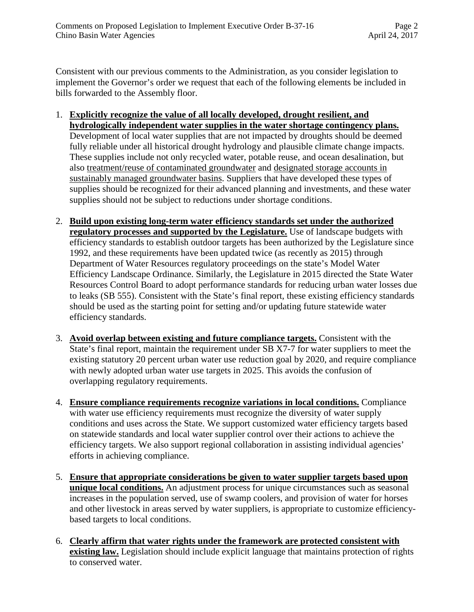Consistent with our previous comments to the Administration, as you consider legislation to implement the Governor's order we request that each of the following elements be included in bills forwarded to the Assembly floor.

- 1. **Explicitly recognize the value of all locally developed, drought resilient, and hydrologically independent water supplies in the water shortage contingency plans.** Development of local water supplies that are not impacted by droughts should be deemed fully reliable under all historical drought hydrology and plausible climate change impacts. These supplies include not only recycled water, potable reuse, and ocean desalination, but also treatment/reuse of contaminated groundwater and designated storage accounts in sustainably managed groundwater basins. Suppliers that have developed these types of supplies should be recognized for their advanced planning and investments, and these water supplies should not be subject to reductions under shortage conditions.
- 2. **Build upon existing long-term water efficiency standards set under the authorized regulatory processes and supported by the Legislature.** Use of landscape budgets with efficiency standards to establish outdoor targets has been authorized by the Legislature since 1992, and these requirements have been updated twice (as recently as 2015) through Department of Water Resources regulatory proceedings on the state's Model Water Efficiency Landscape Ordinance. Similarly, the Legislature in 2015 directed the State Water Resources Control Board to adopt performance standards for reducing urban water losses due to leaks (SB 555). Consistent with the State's final report, these existing efficiency standards should be used as the starting point for setting and/or updating future statewide water efficiency standards.
- 3. **Avoid overlap between existing and future compliance targets.** Consistent with the State's final report, maintain the requirement under SB X7-7 for water suppliers to meet the existing statutory 20 percent urban water use reduction goal by 2020, and require compliance with newly adopted urban water use targets in 2025. This avoids the confusion of overlapping regulatory requirements.
- 4. **Ensure compliance requirements recognize variations in local conditions.** Compliance with water use efficiency requirements must recognize the diversity of water supply conditions and uses across the State. We support customized water efficiency targets based on statewide standards and local water supplier control over their actions to achieve the efficiency targets. We also support regional collaboration in assisting individual agencies' efforts in achieving compliance.
- 5. **Ensure that appropriate considerations be given to water supplier targets based upon unique local conditions.** An adjustment process for unique circumstances such as seasonal increases in the population served, use of swamp coolers, and provision of water for horses and other livestock in areas served by water suppliers, is appropriate to customize efficiencybased targets to local conditions.
- 6. **Clearly affirm that water rights under the framework are protected consistent with existing law.** Legislation should include explicit language that maintains protection of rights to conserved water.